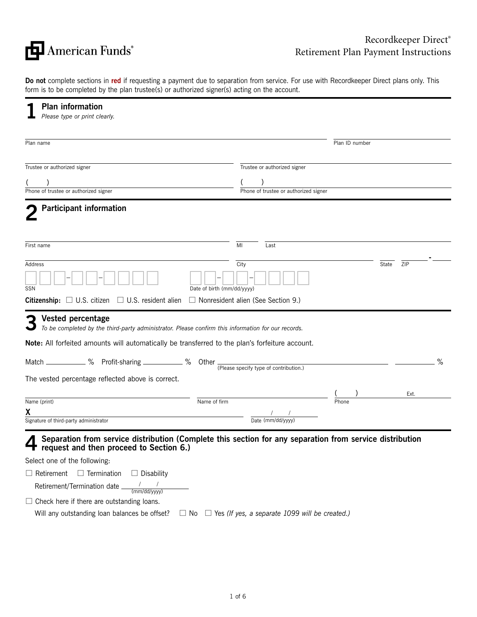

**Do not** complete sections in **red** if requesting a payment due to separation from service. For use with Recordkeeper Direct plans only. This form is to be completed by the plan trustee(s) or authorized signer(s) acting on the account.

| Plan ID number<br>Trustee or authorized signer                                                               |                                                                                                                                                                                                                                                                                                                                                                 |
|--------------------------------------------------------------------------------------------------------------|-----------------------------------------------------------------------------------------------------------------------------------------------------------------------------------------------------------------------------------------------------------------------------------------------------------------------------------------------------------------|
|                                                                                                              |                                                                                                                                                                                                                                                                                                                                                                 |
|                                                                                                              |                                                                                                                                                                                                                                                                                                                                                                 |
|                                                                                                              |                                                                                                                                                                                                                                                                                                                                                                 |
|                                                                                                              |                                                                                                                                                                                                                                                                                                                                                                 |
| Phone of trustee or authorized signer                                                                        |                                                                                                                                                                                                                                                                                                                                                                 |
|                                                                                                              |                                                                                                                                                                                                                                                                                                                                                                 |
| Last                                                                                                         |                                                                                                                                                                                                                                                                                                                                                                 |
|                                                                                                              | State<br>ZIP                                                                                                                                                                                                                                                                                                                                                    |
| <b>Citizenship:</b> $\Box$ U.S. citizen $\Box$ U.S. resident alien $\Box$ Nonresident alien (See Section 9.) |                                                                                                                                                                                                                                                                                                                                                                 |
| To be completed by the third-party administrator. Please confirm this information for our records.           |                                                                                                                                                                                                                                                                                                                                                                 |
|                                                                                                              | %                                                                                                                                                                                                                                                                                                                                                               |
|                                                                                                              |                                                                                                                                                                                                                                                                                                                                                                 |
|                                                                                                              | Ext.                                                                                                                                                                                                                                                                                                                                                            |
|                                                                                                              |                                                                                                                                                                                                                                                                                                                                                                 |
|                                                                                                              |                                                                                                                                                                                                                                                                                                                                                                 |
|                                                                                                              | <b>Note:</b> All forfeited amounts will automatically be transferred to the plan's forfeiture account.<br>Match ____________% Profit-sharing ____________% Other The Release specify type of contribution.)<br>$\frac{7}{\text{Date (mm/dd/yyyy)}}$<br>Separation from service distribution (Complete this section for any separation from service distribution |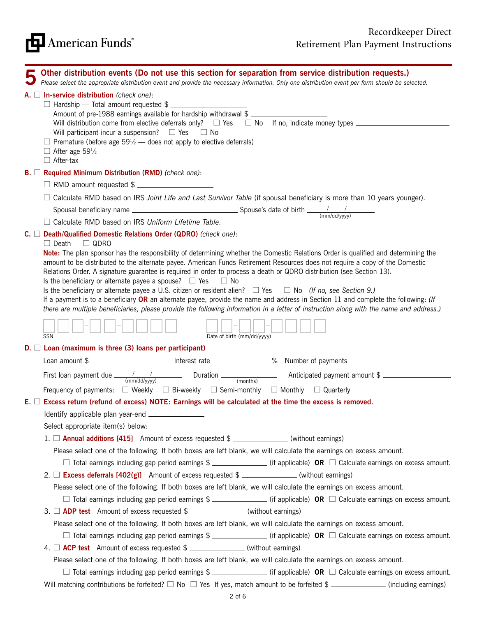| <b>FEJ</b> American Funds® |  |
|----------------------------|--|
|----------------------------|--|

| Other distribution events (Do not use this section for separation from service distribution requests.)<br>Please select the appropriate distribution event and provide the necessary information. Only one distribution event per form should be selected.                                                                                                                                                                                                                                                                                                                                                                                                                                                                                                                                                                                                                                                     |
|----------------------------------------------------------------------------------------------------------------------------------------------------------------------------------------------------------------------------------------------------------------------------------------------------------------------------------------------------------------------------------------------------------------------------------------------------------------------------------------------------------------------------------------------------------------------------------------------------------------------------------------------------------------------------------------------------------------------------------------------------------------------------------------------------------------------------------------------------------------------------------------------------------------|
| $A.$ $\square$ In-service distribution (check one):<br>□ Hardship — Total amount requested \$<br>Amount of pre-1988 earnings available for hardship withdrawal \$<br>Will distribution come from elective deferrals only? $\Box$ Yes $\Box$ No If no, indicate money types $\Box$<br>Will participant incur a suspension? $\Box$ Yes $\Box$ No<br>$\Box$ Premature (before age 59 <sup>1</sup> / <sub>2</sub> — does not apply to elective deferrals)<br>$\Box$ After age 59 <sup>1</sup> / <sub>2</sub><br>$\Box$ After-tax                                                                                                                                                                                                                                                                                                                                                                                   |
| $B.$ Required Minimum Distribution (RMD) (check one):                                                                                                                                                                                                                                                                                                                                                                                                                                                                                                                                                                                                                                                                                                                                                                                                                                                          |
| □ RMD amount requested \$                                                                                                                                                                                                                                                                                                                                                                                                                                                                                                                                                                                                                                                                                                                                                                                                                                                                                      |
| Calculate RMD based on IRS Joint Life and Last Survivor Table (if spousal beneficiary is more than 10 years younger).                                                                                                                                                                                                                                                                                                                                                                                                                                                                                                                                                                                                                                                                                                                                                                                          |
|                                                                                                                                                                                                                                                                                                                                                                                                                                                                                                                                                                                                                                                                                                                                                                                                                                                                                                                |
| □ Calculate RMD based on IRS Uniform Lifetime Table.                                                                                                                                                                                                                                                                                                                                                                                                                                                                                                                                                                                                                                                                                                                                                                                                                                                           |
| $C. \Box$ Death/Qualified Domestic Relations Order (QDRO) (check one):                                                                                                                                                                                                                                                                                                                                                                                                                                                                                                                                                                                                                                                                                                                                                                                                                                         |
| $\Box$ Death<br>$\Box$ QDRO<br>Note: The plan sponsor has the responsibility of determining whether the Domestic Relations Order is qualified and determining the<br>amount to be distributed to the alternate payee. American Funds Retirement Resources does not require a copy of the Domestic<br>Relations Order. A signature guarantee is required in order to process a death or QDRO distribution (see Section 13).<br>Is the beneficiary or alternate payee a spouse? $\Box$ Yes<br>$\Box$ No<br>Is the beneficiary or alternate payee a U.S. citizen or resident alien? $\Box$ Yes $\Box$ No (If no, see Section 9.)<br>If a payment is to a beneficiary OR an alternate payee, provide the name and address in Section 11 and complete the following: (If<br>there are multiple beneficiaries, please provide the following information in a letter of instruction along with the name and address.) |
| Date of birth (mm/dd/yyyy)<br>SSN                                                                                                                                                                                                                                                                                                                                                                                                                                                                                                                                                                                                                                                                                                                                                                                                                                                                              |
| $D. \Box$ Loan (maximum is three (3) loans per participant)                                                                                                                                                                                                                                                                                                                                                                                                                                                                                                                                                                                                                                                                                                                                                                                                                                                    |
| Loan amount \$                                                                                                                                                                                                                                                                                                                                                                                                                                                                                                                                                                                                                                                                                                                                                                                                                                                                                                 |
| First Ioan payment due $\frac{1}{(mm/dd/yyyy)}$ Duration $\frac{1}{(months)}$ Anticipated payment amount \$<br>Frequency of payments: $\square$ Weekly $\square$ Bi-weekly $\square$ Semi-monthly $\square$ Monthly $\square$ Quarterly                                                                                                                                                                                                                                                                                                                                                                                                                                                                                                                                                                                                                                                                        |
| $E. \Box$ Excess return (refund of excess) NOTE: Earnings will be calculated at the time the excess is removed.                                                                                                                                                                                                                                                                                                                                                                                                                                                                                                                                                                                                                                                                                                                                                                                                |
| Identify applicable plan year-end __                                                                                                                                                                                                                                                                                                                                                                                                                                                                                                                                                                                                                                                                                                                                                                                                                                                                           |
| Select appropriate item(s) below:                                                                                                                                                                                                                                                                                                                                                                                                                                                                                                                                                                                                                                                                                                                                                                                                                                                                              |
| 1. $\Box$ <b>Annual additions [415]</b> Amount of excess requested $\$\sim$ _____________(without earnings)                                                                                                                                                                                                                                                                                                                                                                                                                                                                                                                                                                                                                                                                                                                                                                                                    |
| Please select one of the following. If both boxes are left blank, we will calculate the earnings on excess amount.                                                                                                                                                                                                                                                                                                                                                                                                                                                                                                                                                                                                                                                                                                                                                                                             |
| $\Box$ Total earnings including gap period earnings \$ ________________(if applicable) OR $\Box$ Calculate earnings on excess amount.                                                                                                                                                                                                                                                                                                                                                                                                                                                                                                                                                                                                                                                                                                                                                                          |
| 2. $\Box$ Excess deferrals [402(g)] Amount of excess requested \$                                                                                                                                                                                                                                                                                                                                                                                                                                                                                                                                                                                                                                                                                                                                                                                                                                              |
| Please select one of the following. If both boxes are left blank, we will calculate the earnings on excess amount.                                                                                                                                                                                                                                                                                                                                                                                                                                                                                                                                                                                                                                                                                                                                                                                             |
| $\Box$ Total earnings including gap period earnings \$ _______________(if applicable) OR $\Box$ Calculate earnings on excess amount.                                                                                                                                                                                                                                                                                                                                                                                                                                                                                                                                                                                                                                                                                                                                                                           |
| 3. $\Box$ ADP test Amount of excess requested $\$\_\_$ (without earnings)                                                                                                                                                                                                                                                                                                                                                                                                                                                                                                                                                                                                                                                                                                                                                                                                                                      |
| Please select one of the following. If both boxes are left blank, we will calculate the earnings on excess amount.                                                                                                                                                                                                                                                                                                                                                                                                                                                                                                                                                                                                                                                                                                                                                                                             |
| $\Box$ Total earnings including gap period earnings $\$\_\_$ (if applicable) OR $\Box$ Calculate earnings on excess amount.                                                                                                                                                                                                                                                                                                                                                                                                                                                                                                                                                                                                                                                                                                                                                                                    |
| 4. $\Box$ ACP test Amount of excess requested \$ _______________(without earnings)                                                                                                                                                                                                                                                                                                                                                                                                                                                                                                                                                                                                                                                                                                                                                                                                                             |
| Please select one of the following. If both boxes are left blank, we will calculate the earnings on excess amount.                                                                                                                                                                                                                                                                                                                                                                                                                                                                                                                                                                                                                                                                                                                                                                                             |
| $\Box$ Total earnings including gap period earnings $\$\_\_$ (if applicable) OR $\Box$ Calculate earnings on excess amount.                                                                                                                                                                                                                                                                                                                                                                                                                                                                                                                                                                                                                                                                                                                                                                                    |
| Will matching contributions be forfeited? $\Box$ No $\Box$ Yes If yes, match amount to be forfeited \$ ____________(including earnings)                                                                                                                                                                                                                                                                                                                                                                                                                                                                                                                                                                                                                                                                                                                                                                        |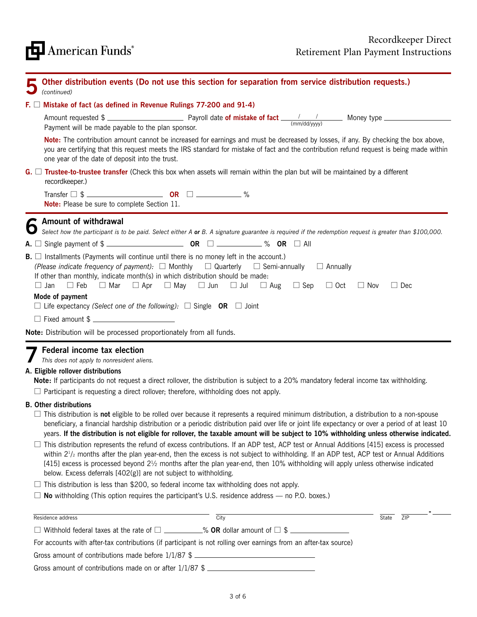| Other distribution events (Do not use this section for separation from service distribution requests.)<br>(continued)                                                                                                                                                                                                                                                                                                                                                                                  |  |  |
|--------------------------------------------------------------------------------------------------------------------------------------------------------------------------------------------------------------------------------------------------------------------------------------------------------------------------------------------------------------------------------------------------------------------------------------------------------------------------------------------------------|--|--|
| F. $\Box$ Mistake of fact (as defined in Revenue Rulings 77-200 and 91-4)                                                                                                                                                                                                                                                                                                                                                                                                                              |  |  |
| Amount requested $\frac{1}{2}$ Payroll date of mistake of fact $\frac{1}{(mm/dd/yyy)}$ Money type<br>Payment will be made payable to the plan sponsor.                                                                                                                                                                                                                                                                                                                                                 |  |  |
| Note: The contribution amount cannot be increased for earnings and must be decreased by losses, if any. By checking the box above,<br>you are certifying that this request meets the IRS standard for mistake of fact and the contribution refund request is being made within<br>one year of the date of deposit into the trust.                                                                                                                                                                      |  |  |
| $G.$ Trustee-to-trustee transfer (Check this box when assets will remain within the plan but will be maintained by a different<br>recordkeeper.)                                                                                                                                                                                                                                                                                                                                                       |  |  |
| Transfer $\Box$ \$<br>Note: Please be sure to complete Section 11.                                                                                                                                                                                                                                                                                                                                                                                                                                     |  |  |
| Amount of withdrawal<br>Select how the participant is to be paid. Select either A or B. A signature guarantee is required if the redemption request is greater than \$100,000.                                                                                                                                                                                                                                                                                                                         |  |  |
| A. $\Box$ Single payment of \$                                                                                                                                                                                                                                                                                                                                                                                                                                                                         |  |  |
| $\mathbf{B}$ . $\Box$ Installments (Payments will continue until there is no money left in the account.)<br>(Please indicate frequency of payment): $\square$ Monthly $\square$ Quarterly $\square$ Semi-annually $\square$ Annually<br>If other than monthly, indicate month(s) in which distribution should be made:<br>$\Box$ Jan $\Box$ Feb $\Box$ Mar $\Box$ Apr $\Box$ May $\Box$ Jun $\Box$ Jul $\Box$ Aug $\Box$ Sep $\Box$ Oct<br>$\Box$ Nov<br>$\Box$ Dec                                    |  |  |
| Mode of payment<br>$\Box$ Life expectancy (Select one of the following): $\Box$ Single OR $\Box$ Joint                                                                                                                                                                                                                                                                                                                                                                                                 |  |  |
| □ Fixed amount \$                                                                                                                                                                                                                                                                                                                                                                                                                                                                                      |  |  |
| Note: Distribution will be processed proportionately from all funds.                                                                                                                                                                                                                                                                                                                                                                                                                                   |  |  |
| Federal income tax election<br>This does not apply to nonresident aliens.<br>A. Eligible rollover distributions<br>Note: If participants do not request a direct rollover, the distribution is subject to a 20% mandatory federal income tax withholding.<br>$\Box$ Participant is requesting a direct rollover; therefore, withholding does not apply.                                                                                                                                                |  |  |
| <b>B.</b> Other distributions<br>$\Box$ This distribution is <b>not</b> eligible to be rolled over because it represents a required minimum distribution, a distribution to a non-spouse<br>beneficiary, a financial hardship distribution or a periodic distribution paid over life or joint life expectancy or over a period of at least 10<br>years. If the distribution is not eligible for rollover, the taxable amount will be subject to 10% withholding unless otherwise indicated.            |  |  |
| $\Box$ This distribution represents the refund of excess contributions. If an ADP test, ACP test or Annual Additions [415] excess is processed<br>within $2^{1/2}$ months after the plan year-end, then the excess is not subject to withholding. If an ADP test, ACP test or Annual Additions<br>[415] excess is processed beyond 21/2 months after the plan year-end, then 10% withholding will apply unless otherwise indicated<br>below. Excess deferrals [402(g)] are not subject to withholding. |  |  |
| $\Box$ This distribution is less than \$200, so federal income tax withholding does not apply.                                                                                                                                                                                                                                                                                                                                                                                                         |  |  |
| $\Box$ No withholding (This option requires the participant's U.S. residence address $-$ no P.O. boxes.)                                                                                                                                                                                                                                                                                                                                                                                               |  |  |
| Residence address<br>City<br>State<br>ZIP                                                                                                                                                                                                                                                                                                                                                                                                                                                              |  |  |
|                                                                                                                                                                                                                                                                                                                                                                                                                                                                                                        |  |  |
| For accounts with after-tax contributions (if participant is not rolling over earnings from an after-tax source)                                                                                                                                                                                                                                                                                                                                                                                       |  |  |
| Gross amount of contributions made before 1/1/87 \$                                                                                                                                                                                                                                                                                                                                                                                                                                                    |  |  |

Gross amount of contributions made on or after 1/1/87 \$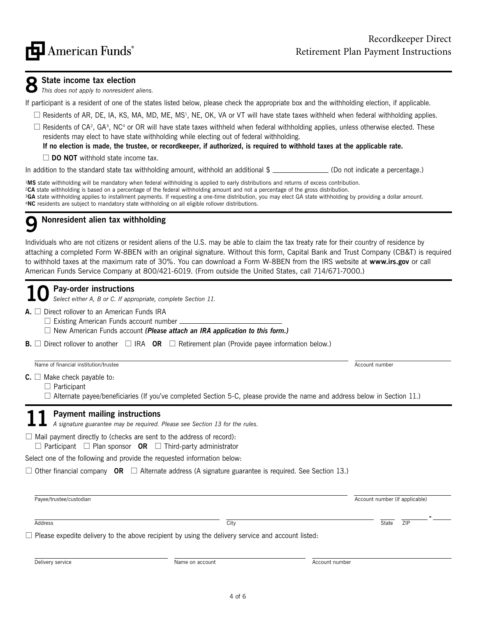

## **8 State income tax election**

*This does not apply to nonresident aliens.*

If participant is a resident of one of the states listed below, please check the appropriate box and the withholding election, if applicable.

- $\Box$  Residents of AR, DE, IA, KS, MA, MD, ME, MS<sup>1</sup>, NE, OK, VA or VT will have state taxes withheld when federal withholding applies.
- $\Box$  Residents of CA<sup>2</sup>, GA<sup>3</sup>, NC<sup>4</sup> or OR will have state taxes withheld when federal withholding applies, unless otherwise elected. These residents may elect to have state withholding while electing out of federal withholding.

**If no election is made, the trustee, or recordkeeper, if authorized, is required to withhold taxes at the applicable rate.**

 $\Box$  **DO NOT** withhold state income tax.

In addition to the standard state tax withholding amount, withhold an additional  $\frac{1}{2}$  (Do not indicate a percentage.)

**MS** state withholding will be mandatory when federal withholding is applied to early distributions and returns of excess contribution. **CA** state withholding is based on a percentage of the federal withholding amount and not a percentage of the gross distribution. **GA** state withholding applies to installment payments. If requesting a one-time distribution, you may elect GA state withholding by providing a dollar amount. **NC** residents are subject to mandatory state withholding on all eligible rollover distributions.

## **9 Nonresident alien tax withholding**

Individuals who are not citizens or resident aliens of the U.S. may be able to claim the tax treaty rate for their country of residence by attaching a completed Form W-8BEN with an original signature. Without this form, Capital Bank and Trust Company (CB&T) is required to withhold taxes at the maximum rate of 30%. You can download a Form W-8BEN from the IRS website at **www.irs.gov** or call American Funds Service Company at 800/421-6019. (From outside the United States, call 714/671-7000.)

## **10 Pay-order instructions**

*Select either A, B or C. If appropriate, complete Section 11.*

### **A.** □ Direct rollover to an American Funds IRA

 $\Box$  Existing American Funds account number

□ New American Funds account *(Please attach an IRA application to this form.)* 

**B.**  $\Box$  Direct rollover to another  $\Box$  IRA **OR**  $\Box$  Retirement plan (Provide payee information below.)

Name of financial institution/trustee Account number Account number Account number Account number Account number

 $C. \Box$  Make check payable to:

 $\Box$  Participant

 $\Box$  Alternate payee/beneficiaries (If you've completed Section 5-C, please provide the name and address below in Section 11.)

**11 Payment mailing instructions** *A signature guarantee may be required. Please see Section 13 for the rules.*

 $\Box$  Mail payment directly to (checks are sent to the address of record):  $\Box$  Participant  $\Box$  Plan sponsor **OR**  $\Box$  Third-party administrator

Select one of the following and provide the requested information below:

 $\Box$  Other financial company **OR**  $\Box$  Alternate address (A signature guarantee is required. See Section 13.)

| Payee/trustee/custodian                                                                                  |      | Account number (if applicable) |  |  |
|----------------------------------------------------------------------------------------------------------|------|--------------------------------|--|--|
| Address                                                                                                  | City | ZIP<br>State                   |  |  |
| $\Box$ Please expedite delivery to the above recipient by using the delivery service and account listed: |      |                                |  |  |
|                                                                                                          |      |                                |  |  |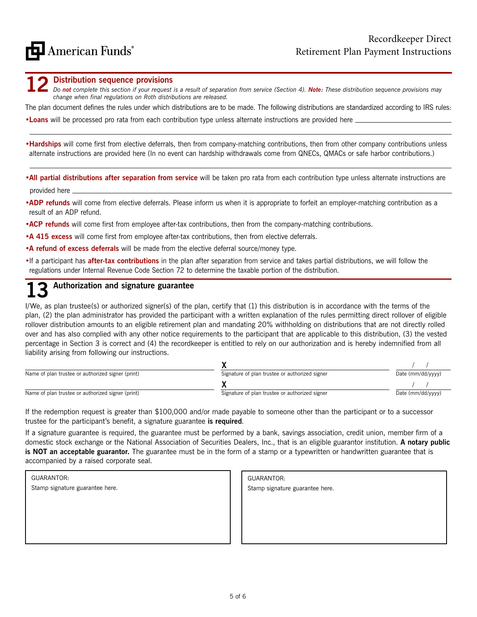**12 Distribution sequence provisions**<br>*Do not complete this section if your request is a result of separation from service (Section 4). Note: These distribution sequence provisions may change when final regulations on Roth distributions are released.*

The plan document defines the rules under which distributions are to be made. The following distributions are standardized according to IRS rules:

•**Loans** will be processed pro rata from each contribution type unless alternate instructions are provided here

•**Hardships** will come first from elective deferrals, then from company-matching contributions, then from other company contributions unless alternate instructions are provided here (In no event can hardship withdrawals come from QNECs, QMACs or safe harbor contributions.)

•**All partial distributions after separation from service** will be taken pro rata from each contribution type unless alternate instructions are provided here

- •**ADP refunds** will come from elective deferrals. Please inform us when it is appropriate to forfeit an employer-matching contribution as a result of an ADP refund.
- •**ACP refunds** will come first from employee after-tax contributions, then from the company-matching contributions.
- •**A 415 excess** will come first from employee after-tax contributions, then from elective deferrals.
- •**A refund of excess deferrals** will be made from the elective deferral source/money type.
- If a participant has **after-tax contributions** in the plan after separation from service and takes partial distributions, we will follow the regulations under Internal Revenue Code Section 72 to determine the taxable portion of the distribution.

## **13 Authorization and signature guarantee**

I/We, as plan trustee(s) or authorized signer(s) of the plan, certify that (1) this distribution is in accordance with the terms of the plan, (2) the plan administrator has provided the participant with a written explanation of the rules permitting direct rollover of eligible rollover distribution amounts to an eligible retirement plan and mandating 20% withholding on distributions that are not directly rolled over and has also complied with any other notice requirements to the participant that are applicable to this distribution, (3) the vested percentage in Section 3 is correct and (4) the recordkeeper is entitled to rely on our authorization and is hereby indemnified from all liability arising from following our instructions.

| Name of plan trustee or authorized signer (print) | Signature of plan trustee or authorized signer | Date (mm/dd/yyyy) |
|---------------------------------------------------|------------------------------------------------|-------------------|
|                                                   |                                                |                   |
| Name of plan trustee or authorized signer (print) | Signature of plan trustee or authorized signer | Date (mm/dd/yyyy) |

If the redemption request is greater than \$100,000 and/or made payable to someone other than the participant or to a successor trustee for the participant's benefit, a signature guarantee **is required**.

If a signature guarantee is required, the guarantee must be performed by a bank, savings association, credit union, member firm of a domestic stock exchange or the National Association of Securities Dealers, Inc., that is an eligible guarantor institution. **A notary public**  is NOT an acceptable guarantor. The guarantee must be in the form of a stamp or a typewritten or handwritten guarantee that is accompanied by a raised corporate seal.

| GUARANTOR:                      |  |
|---------------------------------|--|
| Stamp signature guarantee here. |  |
|                                 |  |
|                                 |  |
|                                 |  |
|                                 |  |
|                                 |  |

GUARANTOR: Stamp signature guarantee here.